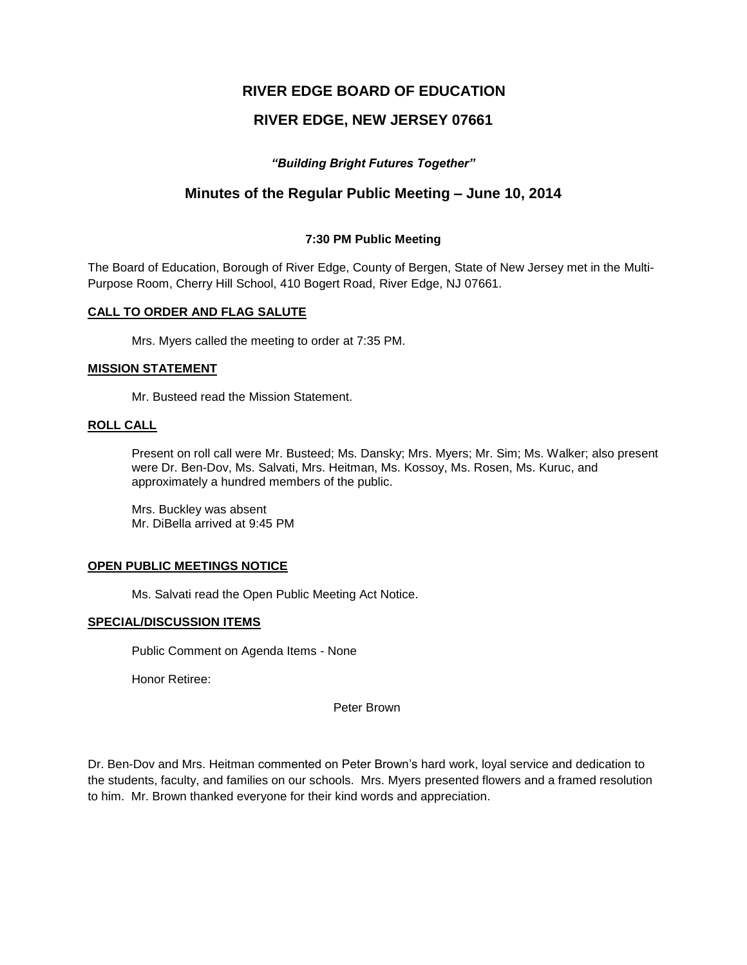# **RIVER EDGE BOARD OF EDUCATION**

# **RIVER EDGE, NEW JERSEY 07661**

## *"Building Bright Futures Together"*

# **Minutes of the Regular Public Meeting – June 10, 2014**

## **7:30 PM Public Meeting**

The Board of Education, Borough of River Edge, County of Bergen, State of New Jersey met in the Multi-Purpose Room, Cherry Hill School, 410 Bogert Road, River Edge, NJ 07661.

### **CALL TO ORDER AND FLAG SALUTE**

Mrs. Myers called the meeting to order at 7:35 PM.

### **MISSION STATEMENT**

Mr. Busteed read the Mission Statement.

### **ROLL CALL**

Present on roll call were Mr. Busteed; Ms. Dansky; Mrs. Myers; Mr. Sim; Ms. Walker; also present were Dr. Ben-Dov, Ms. Salvati, Mrs. Heitman, Ms. Kossoy, Ms. Rosen, Ms. Kuruc, and approximately a hundred members of the public.

Mrs. Buckley was absent Mr. DiBella arrived at 9:45 PM

### **OPEN PUBLIC MEETINGS NOTICE**

Ms. Salvati read the Open Public Meeting Act Notice.

## **SPECIAL/DISCUSSION ITEMS**

Public Comment on Agenda Items - None

Honor Retiree:

Peter Brown

Dr. Ben-Dov and Mrs. Heitman commented on Peter Brown's hard work, loyal service and dedication to the students, faculty, and families on our schools. Mrs. Myers presented flowers and a framed resolution to him. Mr. Brown thanked everyone for their kind words and appreciation.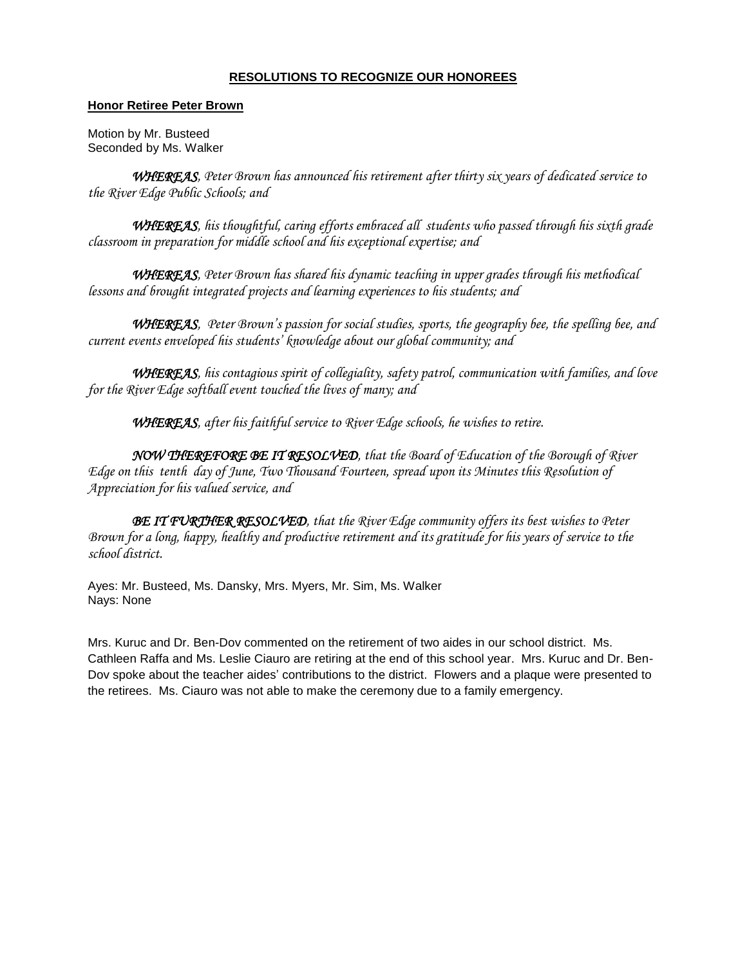## **RESOLUTIONS TO RECOGNIZE OUR HONOREES**

### **Honor Retiree Peter Brown**

Motion by Mr. Busteed Seconded by Ms. Walker

*WHEREAS, Peter Brown has announced his retirement after thirty six years of dedicated service to the River Edge Public Schools; and* 

*WHEREAS, his thoughtful, caring efforts embraced all students who passed through his sixth grade classroom in preparation for middle school and his exceptional expertise; and*

*WHEREAS, Peter Brown has shared his dynamic teaching in upper grades through his methodical lessons and brought integrated projects and learning experiences to his students; and*

*WHEREAS, Peter Brown's passion for social studies, sports, the geography bee, the spelling bee, and current events enveloped his students' knowledge about our global community; and*

 *WHEREAS, his contagious spirit of collegiality, safety patrol, communication with families, and love for the River Edge softball event touched the lives of many; and*

 *WHEREAS, after his faithful service to River Edge schools, he wishes to retire.*

 *NOW THEREFORE BE IT RESOLVED, that the Board of Education of the Borough of River Edge on this tenth day of June, Two Thousand Fourteen, spread upon its Minutes this Resolution of Appreciation for his valued service, and*

 *BE IT FURTHER RESOLVED, that the River Edge community offers its best wishes to Peter Brown for a long, happy, healthy and productive retirement and its gratitude for his years of service to the school district.*

Ayes: Mr. Busteed, Ms. Dansky, Mrs. Myers, Mr. Sim, Ms. Walker Nays: None

Mrs. Kuruc and Dr. Ben-Dov commented on the retirement of two aides in our school district. Ms. Cathleen Raffa and Ms. Leslie Ciauro are retiring at the end of this school year. Mrs. Kuruc and Dr. Ben-Dov spoke about the teacher aides' contributions to the district. Flowers and a plaque were presented to the retirees. Ms. Ciauro was not able to make the ceremony due to a family emergency.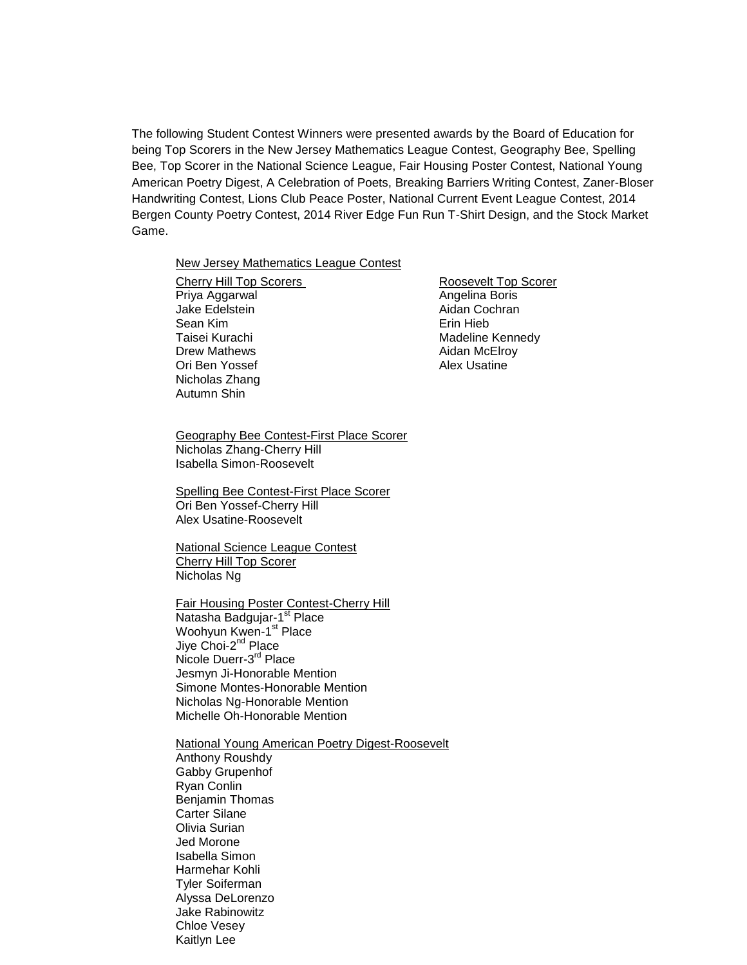The following Student Contest Winners were presented awards by the Board of Education for being Top Scorers in the New Jersey Mathematics League Contest, Geography Bee, Spelling Bee, Top Scorer in the National Science League, Fair Housing Poster Contest, National Young American Poetry Digest, A Celebration of Poets, Breaking Barriers Writing Contest, Zaner-Bloser Handwriting Contest, Lions Club Peace Poster, National Current Event League Contest, 2014 Bergen County Poetry Contest, 2014 River Edge Fun Run T-Shirt Design, and the Stock Market Game.

#### New Jersey Mathematics League Contest

Cherry Hill Top Scorers **Roosevelt Top Scorer** Priya Aggarwal **Angelina Boris** Angelina Boris Jake Edelstein **Aidan** Cochran Sean Kim **Example 2018** Sean Kim **Example 2018** Taisei Kurachi Madeline Kennedy Drew Mathews **Aidan McElroy** Ori Ben Yossef Alex Usatine Nicholas Zhang Autumn Shin

Geography Bee Contest-First Place Scorer Nicholas Zhang-Cherry Hill Isabella Simon-Roosevelt

Spelling Bee Contest-First Place Scorer Ori Ben Yossef-Cherry Hill Alex Usatine-Roosevelt

National Science League Contest Cherry Hill Top Scorer Nicholas Ng

Fair Housing Poster Contest-Cherry Hill Natasha Badgujar-1<sup>st</sup> Place Woohyun Kwen-1st Place Jiye Choi-2<sup>nd</sup> Place Nicole Duerr-3<sup>rd</sup> Place Jesmyn Ji-Honorable Mention Simone Montes-Honorable Mention

Nicholas Ng-Honorable Mention Michelle Oh-Honorable Mention

National Young American Poetry Digest-Roosevelt Anthony Roushdy Gabby Grupenhof Ryan Conlin Benjamin Thomas Carter Silane Olivia Surian Jed Morone Isabella Simon Harmehar Kohli Tyler Soiferman Alyssa DeLorenzo Jake Rabinowitz Chloe Vesey Kaitlyn Lee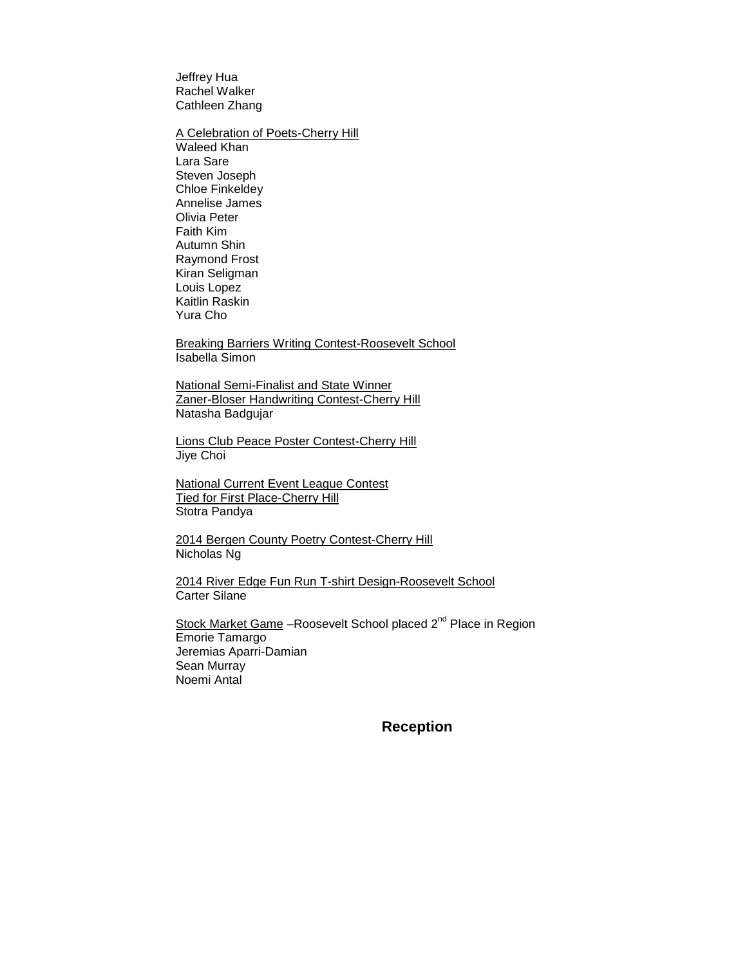Jeffrey Hua Rachel Walker Cathleen Zhang

**A Celebration of Poets-Cherry Hill** 

Waleed Khan Lara Sare Steven Joseph Chloe Finkeldey Annelise James Olivia Peter Faith Kim Autumn Shin Raymond Frost Kiran Seligman Louis Lopez Kaitlin Raskin Yura Cho

Breaking Barriers Writing Contest-Roosevelt School Isabella Simon

National Semi-Finalist and State Winner Zaner-Bloser Handwriting Contest-Cherry Hill Natasha Badgujar

Lions Club Peace Poster Contest-Cherry Hill Jiye Choi

National Current Event League Contest **Tied for First Place-Cherry Hill** Stotra Pandya

2014 Bergen County Poetry Contest-Cherry Hill Nicholas Ng

2014 River Edge Fun Run T-shirt Design-Roosevelt School Carter Silane

Stock Market Game -Roosevelt School placed 2<sup>nd</sup> Place in Region Emorie Tamargo Jeremias Aparri-Damian Sean Murray Noemi Antal

**Reception**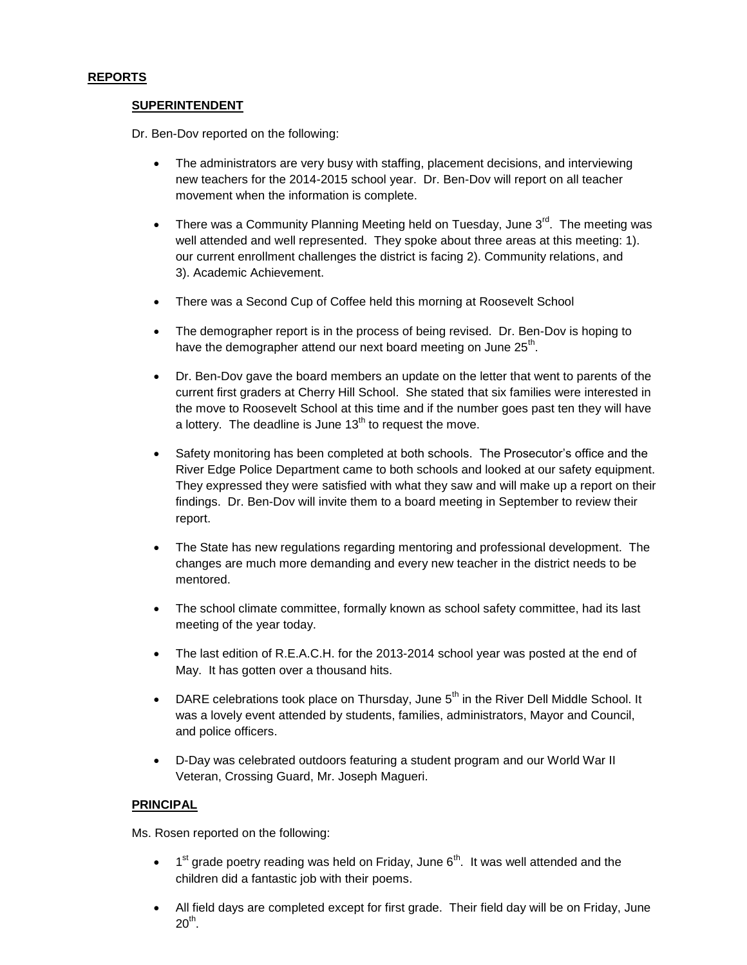### **REPORTS**

### **SUPERINTENDENT**

Dr. Ben-Dov reported on the following:

- The administrators are very busy with staffing, placement decisions, and interviewing new teachers for the 2014-2015 school year. Dr. Ben-Dov will report on all teacher movement when the information is complete.
- There was a Community Planning Meeting held on Tuesday, June  $3<sup>rd</sup>$ . The meeting was well attended and well represented. They spoke about three areas at this meeting: 1). our current enrollment challenges the district is facing 2). Community relations, and 3). Academic Achievement.
- There was a Second Cup of Coffee held this morning at Roosevelt School
- The demographer report is in the process of being revised. Dr. Ben-Dov is hoping to have the demographer attend our next board meeting on June 25<sup>th</sup>.
- Dr. Ben-Dov gave the board members an update on the letter that went to parents of the current first graders at Cherry Hill School. She stated that six families were interested in the move to Roosevelt School at this time and if the number goes past ten they will have a lottery. The deadline is June  $13<sup>th</sup>$  to request the move.
- Safety monitoring has been completed at both schools. The Prosecutor's office and the River Edge Police Department came to both schools and looked at our safety equipment. They expressed they were satisfied with what they saw and will make up a report on their findings. Dr. Ben-Dov will invite them to a board meeting in September to review their report.
- The State has new regulations regarding mentoring and professional development. The changes are much more demanding and every new teacher in the district needs to be mentored.
- The school climate committee, formally known as school safety committee, had its last meeting of the year today.
- The last edition of R.E.A.C.H. for the 2013-2014 school year was posted at the end of May. It has gotten over a thousand hits.
- DARE celebrations took place on Thursday, June  $5<sup>th</sup>$  in the River Dell Middle School. It was a lovely event attended by students, families, administrators, Mayor and Council, and police officers.
- D-Day was celebrated outdoors featuring a student program and our World War II Veteran, Crossing Guard, Mr. Joseph Magueri.

## **PRINCIPAL**

Ms. Rosen reported on the following:

- $\bullet$  1<sup>st</sup> grade poetry reading was held on Friday, June 6<sup>th</sup>. It was well attended and the children did a fantastic job with their poems.
- All field days are completed except for first grade. Their field day will be on Friday, June  $20^{\text{th}}$ .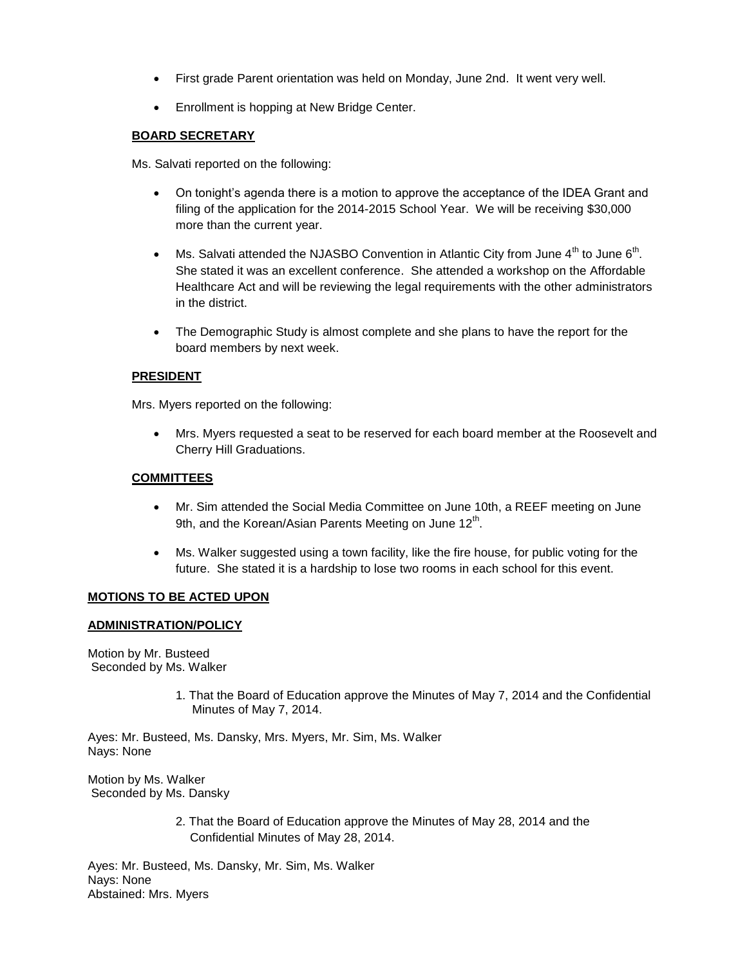- First grade Parent orientation was held on Monday, June 2nd. It went very well.
- **•** Enrollment is hopping at New Bridge Center.

### **BOARD SECRETARY**

Ms. Salvati reported on the following:

- On tonight's agenda there is a motion to approve the acceptance of the IDEA Grant and filing of the application for the 2014-2015 School Year. We will be receiving \$30,000 more than the current year.
- Ms. Salvati attended the NJASBO Convention in Atlantic City from June  $4^{\text{th}}$  to June 6<sup>th</sup>. She stated it was an excellent conference. She attended a workshop on the Affordable Healthcare Act and will be reviewing the legal requirements with the other administrators in the district.
- The Demographic Study is almost complete and she plans to have the report for the board members by next week.

### **PRESIDENT**

Mrs. Myers reported on the following:

 Mrs. Myers requested a seat to be reserved for each board member at the Roosevelt and Cherry Hill Graduations.

### **COMMITTEES**

- Mr. Sim attended the Social Media Committee on June 10th, a REEF meeting on June 9th, and the Korean/Asian Parents Meeting on June 12<sup>th</sup>.
- Ms. Walker suggested using a town facility, like the fire house, for public voting for the future. She stated it is a hardship to lose two rooms in each school for this event.

### **MOTIONS TO BE ACTED UPON**

#### **ADMINISTRATION/POLICY**

Motion by Mr. Busteed Seconded by Ms. Walker

> 1. That the Board of Education approve the Minutes of May 7, 2014 and the Confidential Minutes of May 7, 2014.

Ayes: Mr. Busteed, Ms. Dansky, Mrs. Myers, Mr. Sim, Ms. Walker Nays: None

Motion by Ms. Walker Seconded by Ms. Dansky

> 2. That the Board of Education approve the Minutes of May 28, 2014 and the Confidential Minutes of May 28, 2014.

Ayes: Mr. Busteed, Ms. Dansky, Mr. Sim, Ms. Walker Nays: None Abstained: Mrs. Myers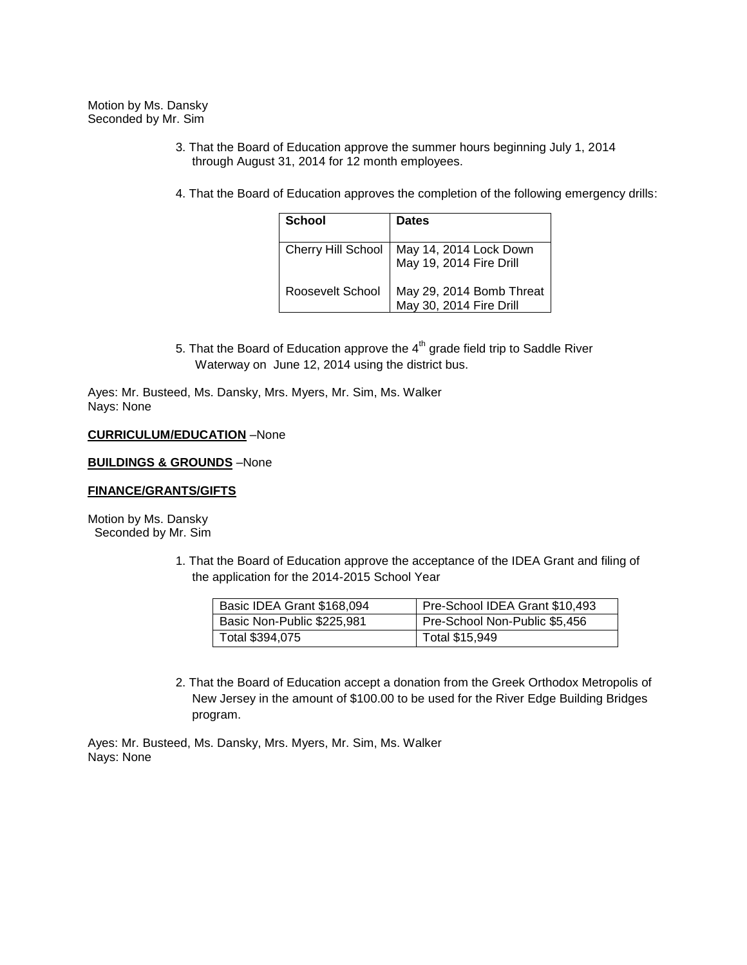Motion by Ms. Dansky Seconded by Mr. Sim

- 3. That the Board of Education approve the summer hours beginning July 1, 2014 through August 31, 2014 for 12 month employees.
- 4. That the Board of Education approves the completion of the following emergency drills:

| School           | <b>Dates</b>                                                             |
|------------------|--------------------------------------------------------------------------|
|                  | Cherry Hill School   May 14, 2014 Lock Down<br>  May 19, 2014 Fire Drill |
| Roosevelt School | May 29, 2014 Bomb Threat<br>May 30, 2014 Fire Drill                      |

5. That the Board of Education approve the  $4<sup>th</sup>$  grade field trip to Saddle River Waterway on June 12, 2014 using the district bus.

Ayes: Mr. Busteed, Ms. Dansky, Mrs. Myers, Mr. Sim, Ms. Walker Nays: None

#### **CURRICULUM/EDUCATION** –None

#### **BUILDINGS & GROUNDS** –None

#### **FINANCE/GRANTS/GIFTS**

Motion by Ms. Dansky Seconded by Mr. Sim

> 1. That the Board of Education approve the acceptance of the IDEA Grant and filing of the application for the 2014-2015 School Year

| Basic IDEA Grant \$168,094 | Pre-School IDEA Grant \$10,493 |
|----------------------------|--------------------------------|
| Basic Non-Public \$225,981 | Pre-School Non-Public \$5,456  |
| Total \$394,075            | Total \$15,949                 |

2. That the Board of Education accept a donation from the Greek Orthodox Metropolis of New Jersey in the amount of \$100.00 to be used for the River Edge Building Bridges program.

Ayes: Mr. Busteed, Ms. Dansky, Mrs. Myers, Mr. Sim, Ms. Walker Nays: None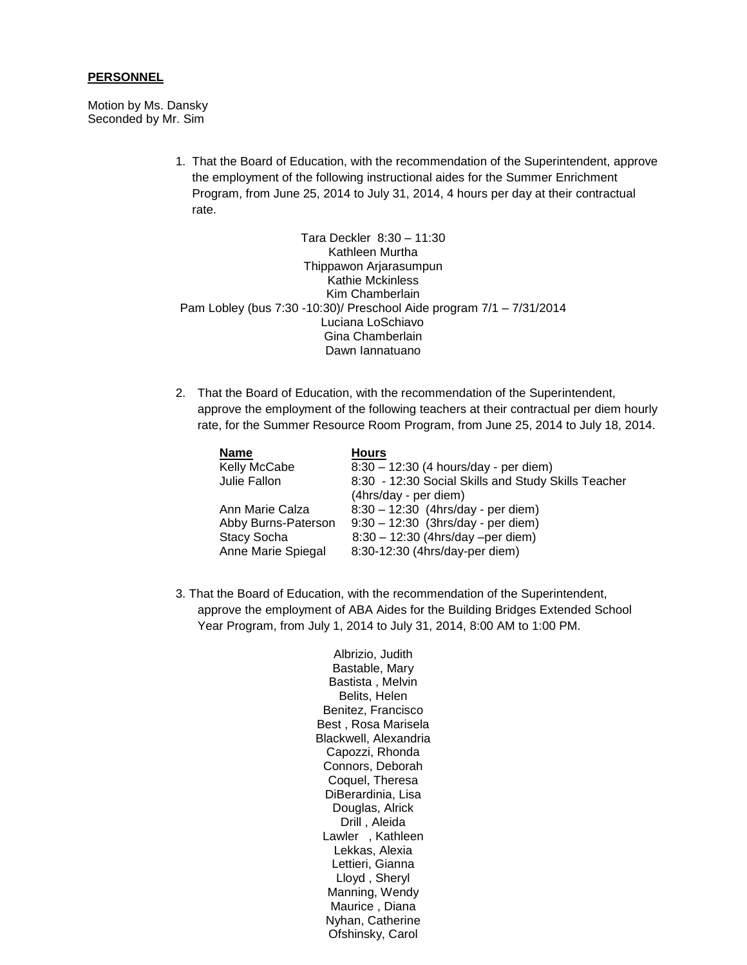#### **PERSONNEL**

Motion by Ms. Dansky Seconded by Mr. Sim

> 1. That the Board of Education, with the recommendation of the Superintendent, approve the employment of the following instructional aides for the Summer Enrichment Program, from June 25, 2014 to July 31, 2014, 4 hours per day at their contractual rate.

Tara Deckler 8:30 – 11:30 Kathleen Murtha Thippawon Arjarasumpun Kathie Mckinless Kim Chamberlain Pam Lobley (bus 7:30 -10:30)/ Preschool Aide program 7/1 – 7/31/2014 Luciana LoSchiavo Gina Chamberlain Dawn Iannatuano

2. That the Board of Education, with the recommendation of the Superintendent, approve the employment of the following teachers at their contractual per diem hourly rate, for the Summer Resource Room Program, from June 25, 2014 to July 18, 2014.

| <b>Name</b>         | <b>Hours</b>                                        |
|---------------------|-----------------------------------------------------|
| Kelly McCabe        | $8:30 - 12:30$ (4 hours/day - per diem)             |
| Julie Fallon        | 8:30 - 12:30 Social Skills and Study Skills Teacher |
|                     | (4hrs/day - per diem)                               |
| Ann Marie Calza     | 8:30 - 12:30 (4hrs/day - per diem)                  |
| Abby Burns-Paterson | $9:30 - 12:30$ (3hrs/day - per diem)                |
| <b>Stacy Socha</b>  | 8:30 - 12:30 (4hrs/day -per diem)                   |
| Anne Marie Spiegal  | 8:30-12:30 (4hrs/day-per diem)                      |

3. That the Board of Education, with the recommendation of the Superintendent, approve the employment of ABA Aides for the Building Bridges Extended School Year Program, from July 1, 2014 to July 31, 2014, 8:00 AM to 1:00 PM.

> Albrizio, Judith Bastable, Mary Bastista , Melvin Belits, Helen Benitez, Francisco Best , Rosa Marisela Blackwell, Alexandria Capozzi, Rhonda Connors, Deborah Coquel, Theresa DiBerardinia, Lisa Douglas, Alrick Drill , Aleida Lawler , Kathleen Lekkas, Alexia Lettieri, Gianna Lloyd , Sheryl Manning, Wendy Maurice , Diana Nyhan, Catherine Ofshinsky, Carol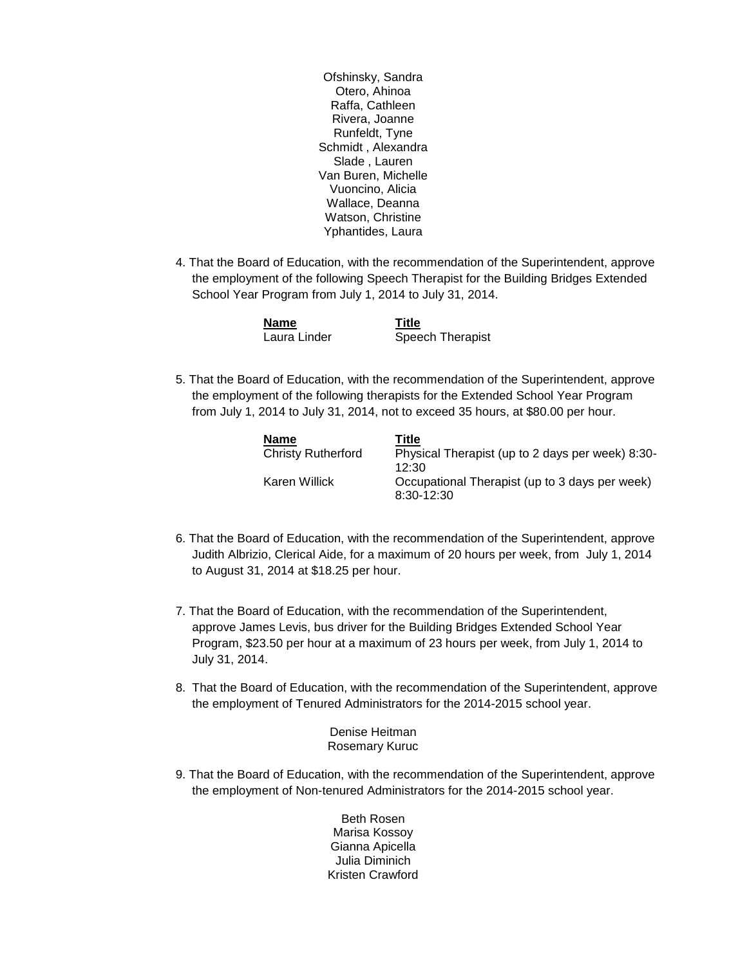Ofshinsky, Sandra Otero, Ahinoa Raffa, Cathleen Rivera, Joanne Runfeldt, Tyne Schmidt , Alexandra Slade , Lauren Van Buren, Michelle Vuoncino, Alicia Wallace, Deanna Watson, Christine Yphantides, Laura

4. That the Board of Education, with the recommendation of the Superintendent, approve the employment of the following Speech Therapist for the Building Bridges Extended School Year Program from July 1, 2014 to July 31, 2014.

| <b>Name</b>  | Title            |
|--------------|------------------|
| Laura Linder | Speech Therapist |

5. That the Board of Education, with the recommendation of the Superintendent, approve the employment of the following therapists for the Extended School Year Program from July 1, 2014 to July 31, 2014, not to exceed 35 hours, at \$80.00 per hour.

| Name               | Title                                                        |
|--------------------|--------------------------------------------------------------|
| Christy Rutherford | Physical Therapist (up to 2 days per week) 8:30-<br>12:30    |
| Karen Willick      | Occupational Therapist (up to 3 days per week)<br>8:30-12:30 |

- 6. That the Board of Education, with the recommendation of the Superintendent, approve Judith Albrizio, Clerical Aide, for a maximum of 20 hours per week, from July 1, 2014 to August 31, 2014 at \$18.25 per hour.
- 7. That the Board of Education, with the recommendation of the Superintendent, approve James Levis, bus driver for the Building Bridges Extended School Year Program, \$23.50 per hour at a maximum of 23 hours per week, from July 1, 2014 to July 31, 2014.
- 8. That the Board of Education, with the recommendation of the Superintendent, approve the employment of Tenured Administrators for the 2014-2015 school year.

Denise Heitman Rosemary Kuruc

9. That the Board of Education, with the recommendation of the Superintendent, approve the employment of Non-tenured Administrators for the 2014-2015 school year.

> Beth Rosen Marisa Kossoy Gianna Apicella Julia Diminich Kristen Crawford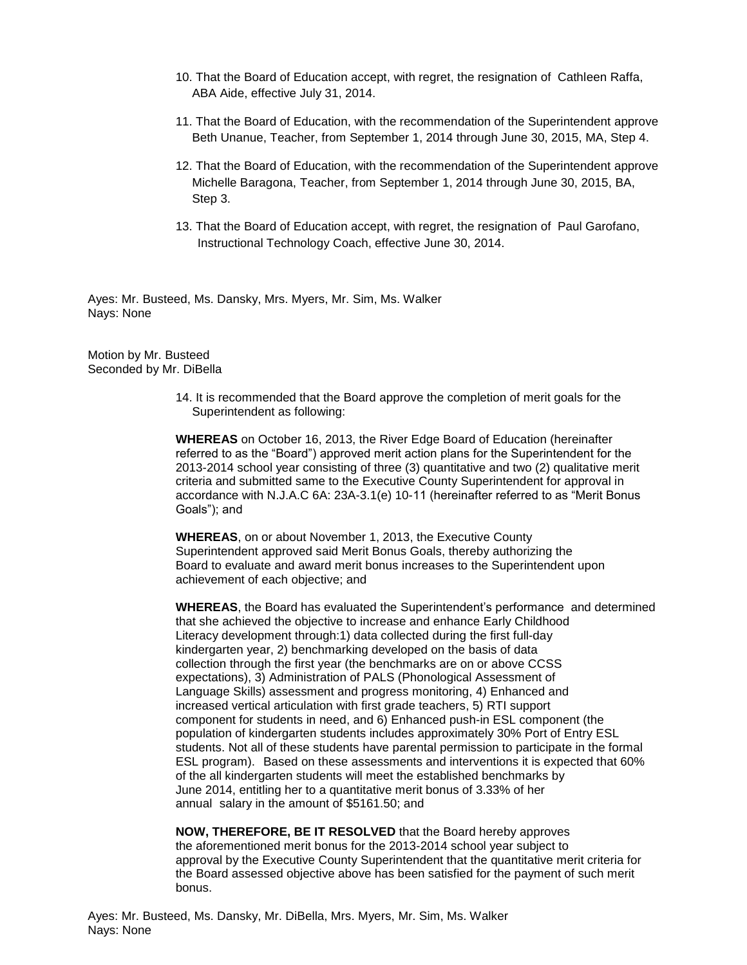- 10. That the Board of Education accept, with regret, the resignation of Cathleen Raffa, ABA Aide, effective July 31, 2014.
- 11. That the Board of Education, with the recommendation of the Superintendent approve Beth Unanue, Teacher, from September 1, 2014 through June 30, 2015, MA, Step 4.
- 12. That the Board of Education, with the recommendation of the Superintendent approve Michelle Baragona, Teacher, from September 1, 2014 through June 30, 2015, BA, Step 3.
- 13. That the Board of Education accept, with regret, the resignation of Paul Garofano, Instructional Technology Coach, effective June 30, 2014.

Ayes: Mr. Busteed, Ms. Dansky, Mrs. Myers, Mr. Sim, Ms. Walker Nays: None

Motion by Mr. Busteed Seconded by Mr. DiBella

> 14. It is recommended that the Board approve the completion of merit goals for the Superintendent as following:

**WHEREAS** on October 16, 2013, the River Edge Board of Education (hereinafter referred to as the "Board") approved merit action plans for the Superintendent for the 2013-2014 school year consisting of three (3) quantitative and two (2) qualitative merit criteria and submitted same to the Executive County Superintendent for approval in accordance with N.J.A.C 6A: 23A-3.1(e) 10-11 (hereinafter referred to as "Merit Bonus Goals"); and

**WHEREAS**, on or about November 1, 2013, the Executive County Superintendent approved said Merit Bonus Goals, thereby authorizing the Board to evaluate and award merit bonus increases to the Superintendent upon achievement of each objective; and

**WHEREAS**, the Board has evaluated the Superintendent's performance and determined that she achieved the objective to increase and enhance Early Childhood Literacy development through:1) data collected during the first full-day kindergarten year, 2) benchmarking developed on the basis of data collection through the first year (the benchmarks are on or above CCSS expectations), 3) Administration of PALS (Phonological Assessment of Language Skills) assessment and progress monitoring, 4) Enhanced and increased vertical articulation with first grade teachers, 5) RTI support component for students in need, and 6) Enhanced push-in ESL component (the population of kindergarten students includes approximately 30% Port of Entry ESL students. Not all of these students have parental permission to participate in the formal ESL program). Based on these assessments and interventions it is expected that 60% of the all kindergarten students will meet the established benchmarks by June 2014, entitling her to a quantitative merit bonus of 3.33% of her annual salary in the amount of \$5161.50; and

**NOW, THEREFORE, BE IT RESOLVED** that the Board hereby approves the aforementioned merit bonus for the 2013-2014 school year subject to approval by the Executive County Superintendent that the quantitative merit criteria for the Board assessed objective above has been satisfied for the payment of such merit bonus.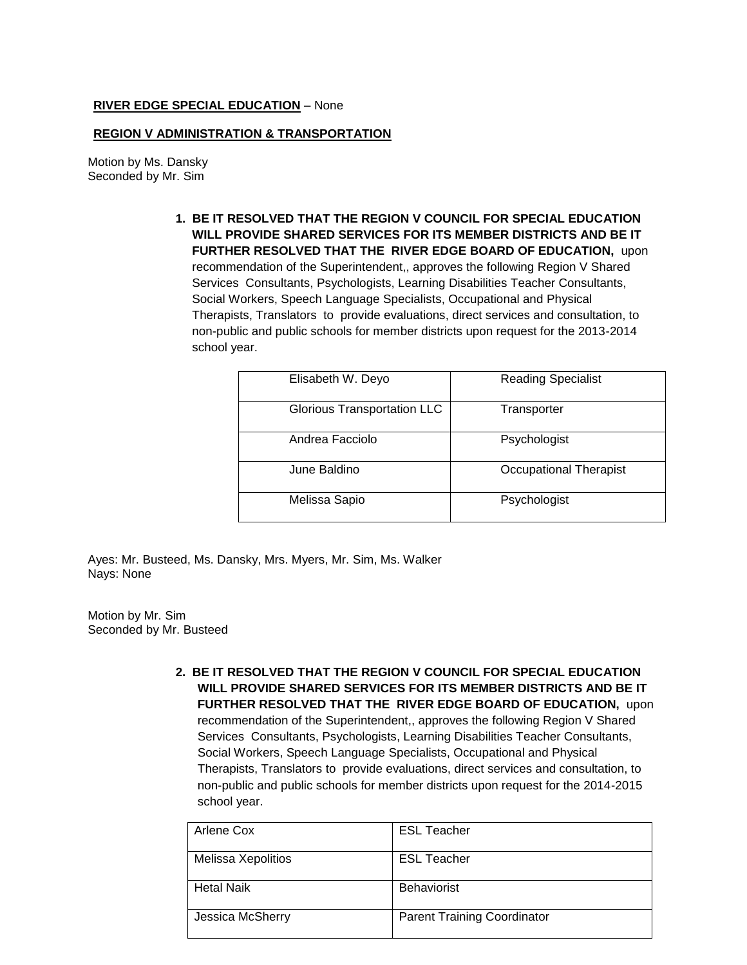### **RIVER EDGE SPECIAL EDUCATION** – None

### **REGION V ADMINISTRATION & TRANSPORTATION**

Motion by Ms. Dansky Seconded by Mr. Sim

> **1. BE IT RESOLVED THAT THE REGION V COUNCIL FOR SPECIAL EDUCATION WILL PROVIDE SHARED SERVICES FOR ITS MEMBER DISTRICTS AND BE IT FURTHER RESOLVED THAT THE RIVER EDGE BOARD OF EDUCATION,** upon recommendation of the Superintendent,, approves the following Region V Shared Services Consultants, Psychologists, Learning Disabilities Teacher Consultants, Social Workers, Speech Language Specialists, Occupational and Physical Therapists, Translators to provide evaluations, direct services and consultation, to non-public and public schools for member districts upon request for the 2013-2014 school year.

| Elisabeth W. Deyo                  | <b>Reading Specialist</b> |
|------------------------------------|---------------------------|
|                                    |                           |
| <b>Glorious Transportation LLC</b> | Transporter               |
|                                    |                           |
| Andrea Facciolo                    | Psychologist              |
|                                    |                           |
| June Baldino                       | Occupational Therapist    |
|                                    |                           |
| Melissa Sapio                      | Psychologist              |
|                                    |                           |

Ayes: Mr. Busteed, Ms. Dansky, Mrs. Myers, Mr. Sim, Ms. Walker Nays: None

Motion by Mr. Sim Seconded by Mr. Busteed

> **2. BE IT RESOLVED THAT THE REGION V COUNCIL FOR SPECIAL EDUCATION WILL PROVIDE SHARED SERVICES FOR ITS MEMBER DISTRICTS AND BE IT FURTHER RESOLVED THAT THE RIVER EDGE BOARD OF EDUCATION,** upon recommendation of the Superintendent,, approves the following Region V Shared Services Consultants, Psychologists, Learning Disabilities Teacher Consultants, Social Workers, Speech Language Specialists, Occupational and Physical Therapists, Translators to provide evaluations, direct services and consultation, to non-public and public schools for member districts upon request for the 2014-2015 school year.

| Arlene Cox         | <b>ESL Teacher</b>                 |
|--------------------|------------------------------------|
| Melissa Xepolitios | <b>ESL Teacher</b>                 |
| <b>Hetal Naik</b>  | <b>Behaviorist</b>                 |
| Jessica McSherry   | <b>Parent Training Coordinator</b> |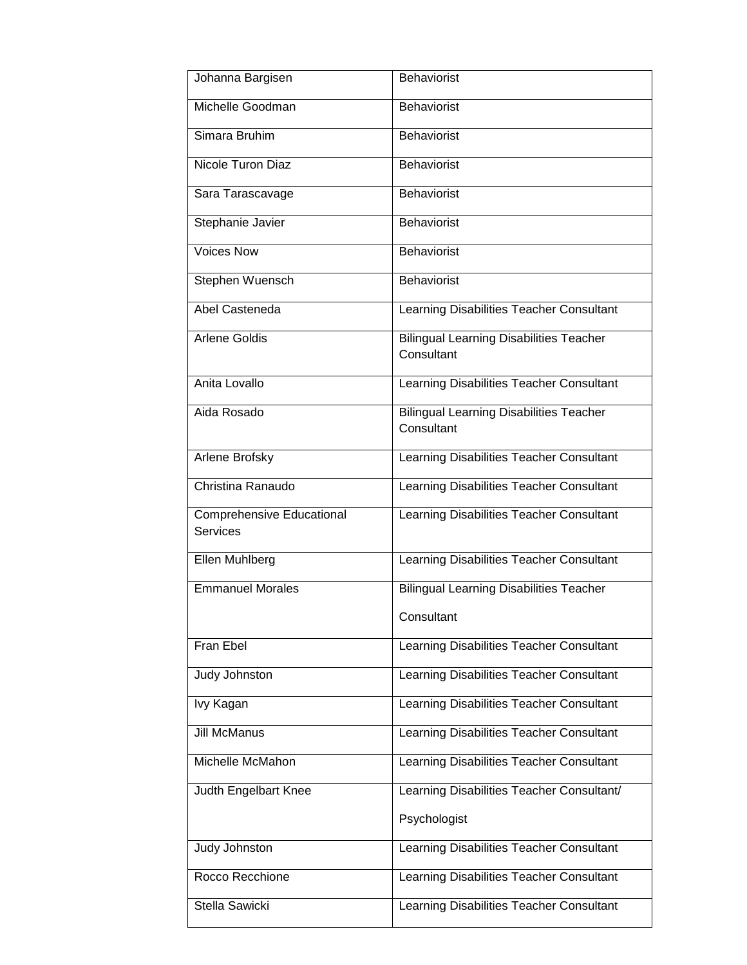| Johanna Bargisen                                    | <b>Behaviorist</b>                                           |
|-----------------------------------------------------|--------------------------------------------------------------|
| Michelle Goodman                                    | <b>Behaviorist</b>                                           |
| Simara Bruhim                                       | <b>Behaviorist</b>                                           |
| Nicole Turon Diaz                                   | <b>Behaviorist</b>                                           |
| Sara Tarascavage                                    | <b>Behaviorist</b>                                           |
| Stephanie Javier                                    | <b>Behaviorist</b>                                           |
| <b>Voices Now</b>                                   | <b>Behaviorist</b>                                           |
| Stephen Wuensch                                     | <b>Behaviorist</b>                                           |
| Abel Casteneda                                      | Learning Disabilities Teacher Consultant                     |
| <b>Arlene Goldis</b>                                | <b>Bilingual Learning Disabilities Teacher</b><br>Consultant |
| Anita Lovallo                                       | Learning Disabilities Teacher Consultant                     |
| Aida Rosado                                         | <b>Bilingual Learning Disabilities Teacher</b><br>Consultant |
| Arlene Brofsky                                      | Learning Disabilities Teacher Consultant                     |
| Christina Ranaudo                                   | Learning Disabilities Teacher Consultant                     |
| <b>Comprehensive Educational</b><br><b>Services</b> | Learning Disabilities Teacher Consultant                     |
| Ellen Muhlberg                                      | Learning Disabilities Teacher Consultant                     |
| <b>Emmanuel Morales</b>                             | <b>Bilingual Learning Disabilities Teacher</b>               |
|                                                     | Consultant                                                   |
| Fran Ebel                                           | Learning Disabilities Teacher Consultant                     |
| Judy Johnston                                       | Learning Disabilities Teacher Consultant                     |
| lvy Kagan                                           | Learning Disabilities Teacher Consultant                     |
| <b>Jill McManus</b>                                 | Learning Disabilities Teacher Consultant                     |
| Michelle McMahon                                    | Learning Disabilities Teacher Consultant                     |
| Judth Engelbart Knee                                | Learning Disabilities Teacher Consultant/                    |
|                                                     | Psychologist                                                 |
| Judy Johnston                                       | Learning Disabilities Teacher Consultant                     |
| Rocco Recchione                                     | Learning Disabilities Teacher Consultant                     |
| Stella Sawicki                                      | Learning Disabilities Teacher Consultant                     |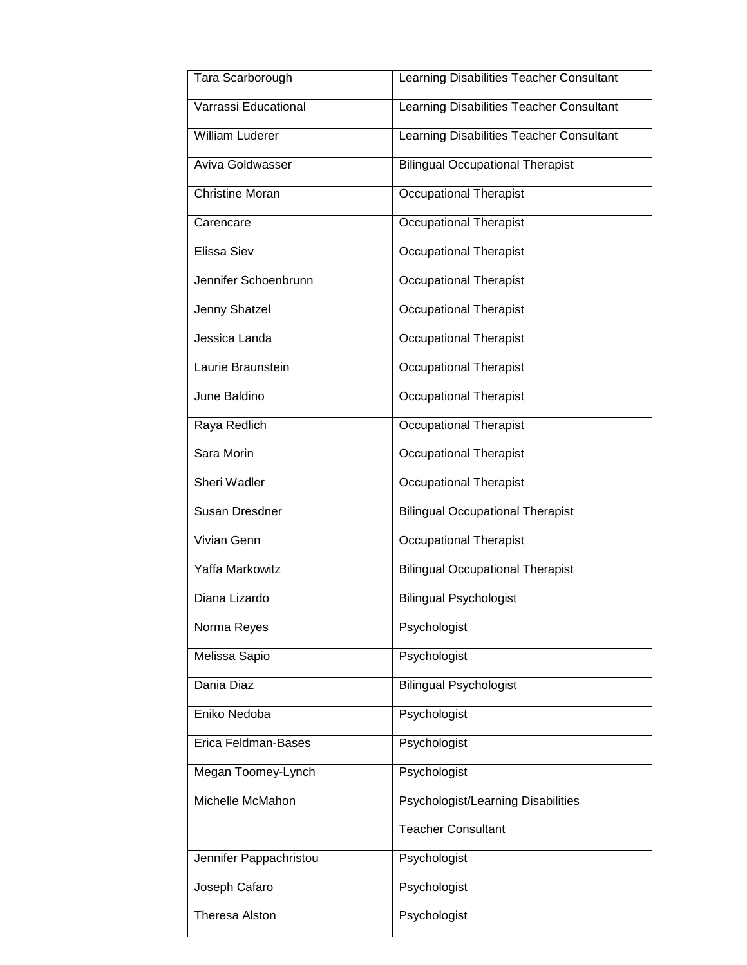| Tara Scarborough       | Learning Disabilities Teacher Consultant |
|------------------------|------------------------------------------|
| Varrassi Educational   | Learning Disabilities Teacher Consultant |
| <b>William Luderer</b> | Learning Disabilities Teacher Consultant |
| Aviva Goldwasser       | <b>Bilingual Occupational Therapist</b>  |
| <b>Christine Moran</b> | <b>Occupational Therapist</b>            |
| Carencare              | <b>Occupational Therapist</b>            |
| Elissa Siev            | <b>Occupational Therapist</b>            |
| Jennifer Schoenbrunn   | Occupational Therapist                   |
| Jenny Shatzel          | <b>Occupational Therapist</b>            |
| Jessica Landa          | <b>Occupational Therapist</b>            |
| Laurie Braunstein      | <b>Occupational Therapist</b>            |
| June Baldino           | <b>Occupational Therapist</b>            |
| Raya Redlich           | <b>Occupational Therapist</b>            |
| Sara Morin             | <b>Occupational Therapist</b>            |
| Sheri Wadler           | <b>Occupational Therapist</b>            |
| Susan Dresdner         | <b>Bilingual Occupational Therapist</b>  |
| <b>Vivian Genn</b>     | <b>Occupational Therapist</b>            |
| Yaffa Markowitz        | <b>Bilingual Occupational Therapist</b>  |
| Diana Lizardo          | <b>Bilingual Psychologist</b>            |
| Norma Reyes            | Psychologist                             |
| Melissa Sapio          | Psychologist                             |
| Dania Diaz             | <b>Bilingual Psychologist</b>            |
| Eniko Nedoba           | Psychologist                             |
| Erica Feldman-Bases    | Psychologist                             |
| Megan Toomey-Lynch     | Psychologist                             |
| Michelle McMahon       | Psychologist/Learning Disabilities       |
|                        | <b>Teacher Consultant</b>                |
| Jennifer Pappachristou | Psychologist                             |
| Joseph Cafaro          | Psychologist                             |
| <b>Theresa Alston</b>  | Psychologist                             |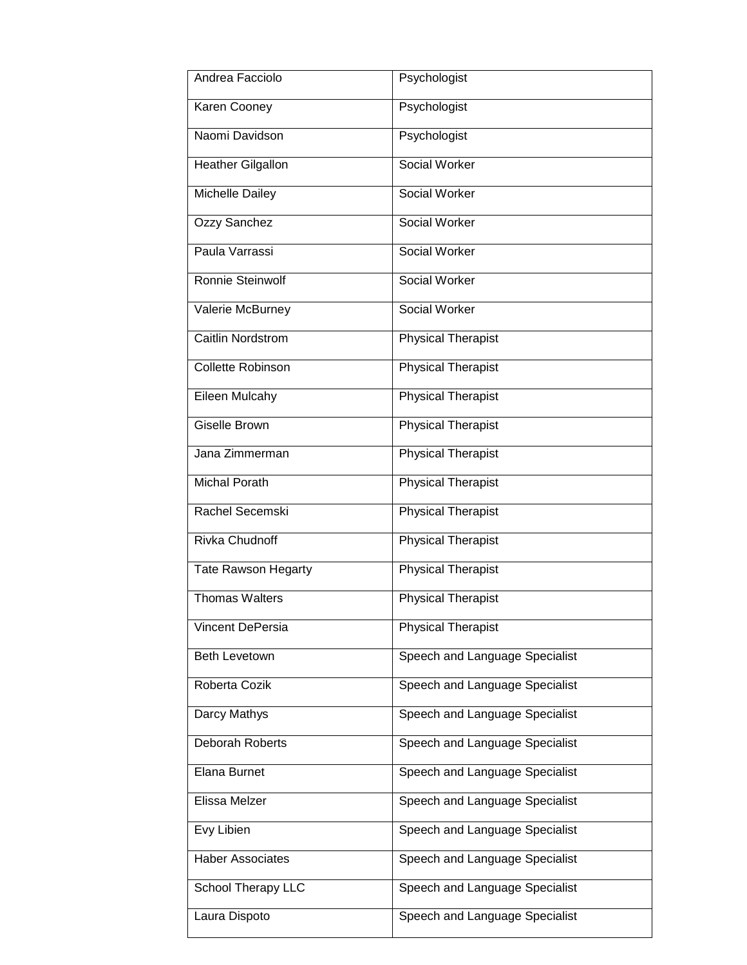| Andrea Facciolo            | Psychologist                   |
|----------------------------|--------------------------------|
| Karen Cooney               | Psychologist                   |
| Naomi Davidson             | Psychologist                   |
| <b>Heather Gilgallon</b>   | Social Worker                  |
| Michelle Dailey            | Social Worker                  |
| Ozzy Sanchez               | Social Worker                  |
| Paula Varrassi             | Social Worker                  |
| Ronnie Steinwolf           | Social Worker                  |
| Valerie McBurney           | <b>Social Worker</b>           |
| <b>Caitlin Nordstrom</b>   | <b>Physical Therapist</b>      |
| <b>Collette Robinson</b>   | <b>Physical Therapist</b>      |
| Eileen Mulcahy             | <b>Physical Therapist</b>      |
| <b>Giselle Brown</b>       | <b>Physical Therapist</b>      |
| Jana Zimmerman             | <b>Physical Therapist</b>      |
| <b>Michal Porath</b>       | <b>Physical Therapist</b>      |
| Rachel Secemski            | <b>Physical Therapist</b>      |
| <b>Rivka Chudnoff</b>      | <b>Physical Therapist</b>      |
| <b>Tate Rawson Hegarty</b> | <b>Physical Therapist</b>      |
| <b>Thomas Walters</b>      | <b>Physical Therapist</b>      |
| Vincent DePersia           | <b>Physical Therapist</b>      |
| Beth Levetown              | Speech and Language Specialist |
| Roberta Cozik              | Speech and Language Specialist |
| Darcy Mathys               | Speech and Language Specialist |
| Deborah Roberts            | Speech and Language Specialist |
| Elana Burnet               | Speech and Language Specialist |
| Elissa Melzer              | Speech and Language Specialist |
| Evy Libien                 | Speech and Language Specialist |
| <b>Haber Associates</b>    | Speech and Language Specialist |
| School Therapy LLC         | Speech and Language Specialist |
| Laura Dispoto              | Speech and Language Specialist |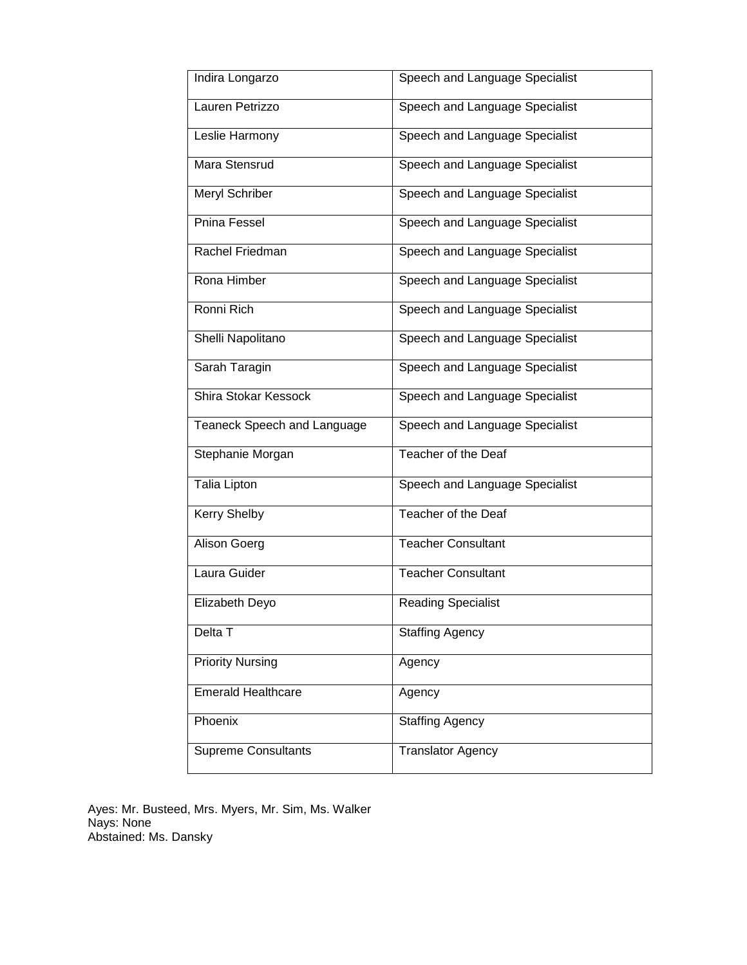| Indira Longarzo             | Speech and Language Specialist |
|-----------------------------|--------------------------------|
| Lauren Petrizzo             | Speech and Language Specialist |
| Leslie Harmony              | Speech and Language Specialist |
| Mara Stensrud               | Speech and Language Specialist |
| Meryl Schriber              | Speech and Language Specialist |
| Pnina Fessel                | Speech and Language Specialist |
| Rachel Friedman             | Speech and Language Specialist |
| Rona Himber                 | Speech and Language Specialist |
| Ronni Rich                  | Speech and Language Specialist |
| Shelli Napolitano           | Speech and Language Specialist |
| Sarah Taragin               | Speech and Language Specialist |
| Shira Stokar Kessock        | Speech and Language Specialist |
| Teaneck Speech and Language | Speech and Language Specialist |
| Stephanie Morgan            | Teacher of the Deaf            |
| Talia Lipton                | Speech and Language Specialist |
| Kerry Shelby                | Teacher of the Deaf            |
| Alison Goerg                | <b>Teacher Consultant</b>      |
| Laura Guider                | <b>Teacher Consultant</b>      |
| Elizabeth Deyo              | <b>Reading Specialist</b>      |
| Delta T                     | <b>Staffing Agency</b>         |
| <b>Priority Nursing</b>     | Agency                         |
| <b>Emerald Healthcare</b>   | Agency                         |
| Phoenix                     | <b>Staffing Agency</b>         |
| Supreme Consultants         | <b>Translator Agency</b>       |
|                             |                                |

Ayes: Mr. Busteed, Mrs. Myers, Mr. Sim, Ms. Walker Nays: None Abstained: Ms. Dansky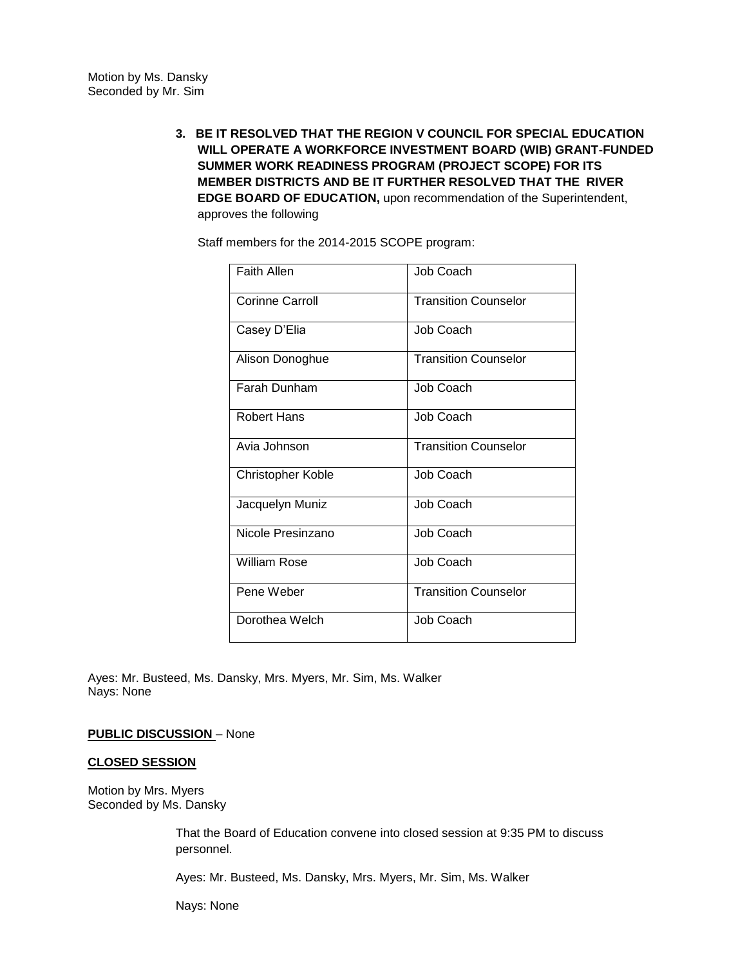**3. BE IT RESOLVED THAT THE REGION V COUNCIL FOR SPECIAL EDUCATION WILL OPERATE A WORKFORCE INVESTMENT BOARD (WIB) GRANT-FUNDED SUMMER WORK READINESS PROGRAM (PROJECT SCOPE) FOR ITS MEMBER DISTRICTS AND BE IT FURTHER RESOLVED THAT THE RIVER EDGE BOARD OF EDUCATION,** upon recommendation of the Superintendent, approves the following

Staff members for the 2014-2015 SCOPE program:

| <b>Faith Allen</b>       | Job Coach                   |
|--------------------------|-----------------------------|
| <b>Corinne Carroll</b>   | <b>Transition Counselor</b> |
| Casey D'Elia             | Job Coach                   |
| Alison Donoghue          | <b>Transition Counselor</b> |
| Farah Dunham             | Job Coach                   |
| <b>Robert Hans</b>       | Job Coach                   |
| Avia Johnson             | <b>Transition Counselor</b> |
| <b>Christopher Koble</b> | Job Coach                   |
| Jacquelyn Muniz          | Job Coach                   |
| Nicole Presinzano        | Job Coach                   |
| William Rose             | Job Coach                   |
| Pene Weber               | <b>Transition Counselor</b> |
| Dorothea Welch           | Job Coach                   |

Ayes: Mr. Busteed, Ms. Dansky, Mrs. Myers, Mr. Sim, Ms. Walker Nays: None

**PUBLIC DISCUSSION** – None

#### **CLOSED SESSION**

Motion by Mrs. Myers Seconded by Ms. Dansky

> That the Board of Education convene into closed session at 9:35 PM to discuss personnel.

Ayes: Mr. Busteed, Ms. Dansky, Mrs. Myers, Mr. Sim, Ms. Walker

Nays: None